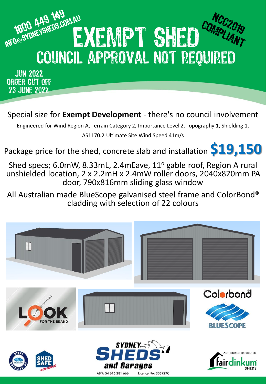

**JUN 2022** ORDER CUT OFF **23 JUNE 2022** 

Special size for **Exempt Development** - there's no council involvement

Engineered for Wind Region A, Terrain Category 2, Importance Level 2, Topography 1, Shielding 1, AS1170.2 Ultimate Site Wind Speed 41m/s

Package price for the shed, concrete slab and installation **\$19,150**

Shed specs; 6.0mW, 8.33mL, 2.4mEave, 11° gable roof, Region A rural unshielded location, 2 x 2.2mH x 2.4mW roller doors, 2040x820mm PA door, 790x816mm sliding glass window

All Australian made BlueScope galvanised steel frame and ColorBond® cladding with selection of 22 colours